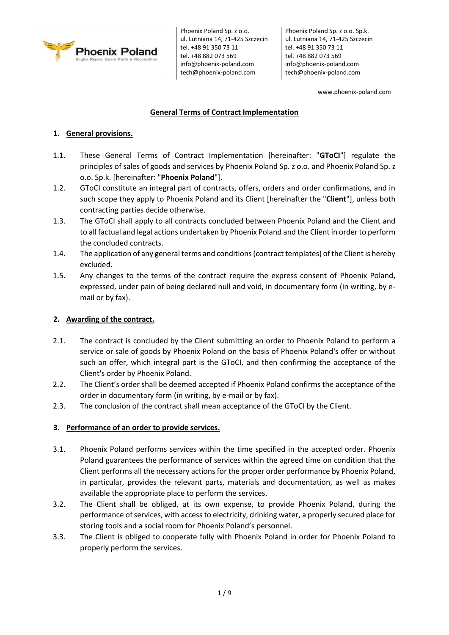

Phoenix Poland Sp. z o.o. Sp.k. ul. Lutniana 14, 71-425 Szczecin tel. +48 91 350 73 11 tel. +48 882 073 569 info@phoenix-poland.com tech@phoenix-poland.com

www.phoenix-poland.com

# **General Terms of Contract Implementation**

# **1. General provisions.**

- 1.1. These General Terms of Contract Implementation [hereinafter: "**GToCI**"] regulate the principles of sales of goods and services by Phoenix Poland Sp. z o.o. and Phoenix Poland Sp. z o.o. Sp.k. [hereinafter: "**Phoenix Poland**"].
- 1.2. GToCI constitute an integral part of contracts, offers, orders and order confirmations, and in such scope they apply to Phoenix Poland and its Client [hereinafter the "**Client**"], unless both contracting parties decide otherwise.
- 1.3. The GToCI shall apply to all contracts concluded between Phoenix Poland and the Client and to all factual and legal actions undertaken by Phoenix Poland and the Client in order to perform the concluded contracts.
- 1.4. The application of any general terms and conditions (contract templates) of the Client is hereby excluded.
- 1.5. Any changes to the terms of the contract require the express consent of Phoenix Poland, expressed, under pain of being declared null and void, in documentary form (in writing, by email or by fax).

# **2. Awarding of the contract.**

- 2.1. The contract is concluded by the Client submitting an order to Phoenix Poland to perform a service or sale of goods by Phoenix Poland on the basis of Phoenix Poland's offer or without such an offer, which integral part is the GToCI, and then confirming the acceptance of the Client's order by Phoenix Poland.
- 2.2. The Client's order shall be deemed accepted if Phoenix Poland confirms the acceptance of the order in documentary form (in writing, by e-mail or by fax).
- 2.3. The conclusion of the contract shall mean acceptance of the GToCI by the Client.

## **3. Performance of an order to provide services.**

- 3.1. Phoenix Poland performs services within the time specified in the accepted order. Phoenix Poland guarantees the performance of services within the agreed time on condition that the Client performs all the necessary actions for the proper order performance by Phoenix Poland, in particular, provides the relevant parts, materials and documentation, as well as makes available the appropriate place to perform the services.
- 3.2. The Client shall be obliged, at its own expense, to provide Phoenix Poland, during the performance of services, with access to electricity, drinking water, a properly secured place for storing tools and a social room for Phoenix Poland's personnel.
- 3.3. The Client is obliged to cooperate fully with Phoenix Poland in order for Phoenix Poland to properly perform the services.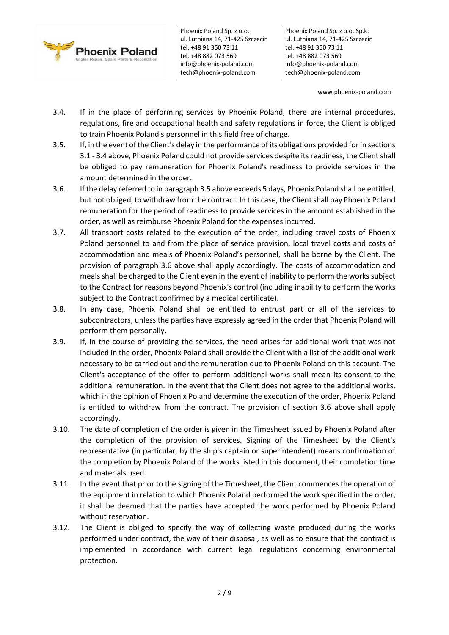

Phoenix Poland Sp. z o.o. Sp.k. ul. Lutniana 14, 71-425 Szczecin tel. +48 91 350 73 11 tel. +48 882 073 569 info@phoenix-poland.com tech@phoenix-poland.com

www.phoenix-poland.com

- 3.4. If in the place of performing services by Phoenix Poland, there are internal procedures, regulations, fire and occupational health and safety regulations in force, the Client is obliged to train Phoenix Poland's personnel in this field free of charge.
- 3.5. If, in the event of the Client's delay in the performance of its obligations provided for in sections 3.1 - 3.4 above, Phoenix Poland could not provide services despite its readiness, the Client shall be obliged to pay remuneration for Phoenix Poland's readiness to provide services in the amount determined in the order.
- 3.6. If the delay referred to in paragraph 3.5 above exceeds 5 days, Phoenix Poland shall be entitled, but not obliged, to withdraw from the contract. In this case, the Client shall pay Phoenix Poland remuneration for the period of readiness to provide services in the amount established in the order, as well as reimburse Phoenix Poland for the expenses incurred.
- 3.7. All transport costs related to the execution of the order, including travel costs of Phoenix Poland personnel to and from the place of service provision, local travel costs and costs of accommodation and meals of Phoenix Poland's personnel, shall be borne by the Client. The provision of paragraph 3.6 above shall apply accordingly. The costs of accommodation and meals shall be charged to the Client even in the event of inability to perform the works subject to the Contract for reasons beyond Phoenix's control (including inability to perform the works subject to the Contract confirmed by a medical certificate).
- 3.8. In any case, Phoenix Poland shall be entitled to entrust part or all of the services to subcontractors, unless the parties have expressly agreed in the order that Phoenix Poland will perform them personally.
- 3.9. If, in the course of providing the services, the need arises for additional work that was not included in the order, Phoenix Poland shall provide the Client with a list of the additional work necessary to be carried out and the remuneration due to Phoenix Poland on this account. The Client's acceptance of the offer to perform additional works shall mean its consent to the additional remuneration. In the event that the Client does not agree to the additional works, which in the opinion of Phoenix Poland determine the execution of the order, Phoenix Poland is entitled to withdraw from the contract. The provision of section 3.6 above shall apply accordingly.
- 3.10. The date of completion of the order is given in the Timesheet issued by Phoenix Poland after the completion of the provision of services. Signing of the Timesheet by the Client's representative (in particular, by the ship's captain or superintendent) means confirmation of the completion by Phoenix Poland of the works listed in this document, their completion time and materials used.
- 3.11. In the event that prior to the signing of the Timesheet, the Client commences the operation of the equipment in relation to which Phoenix Poland performed the work specified in the order, it shall be deemed that the parties have accepted the work performed by Phoenix Poland without reservation.
- 3.12. The Client is obliged to specify the way of collecting waste produced during the works performed under contract, the way of their disposal, as well as to ensure that the contract is implemented in accordance with current legal regulations concerning environmental protection.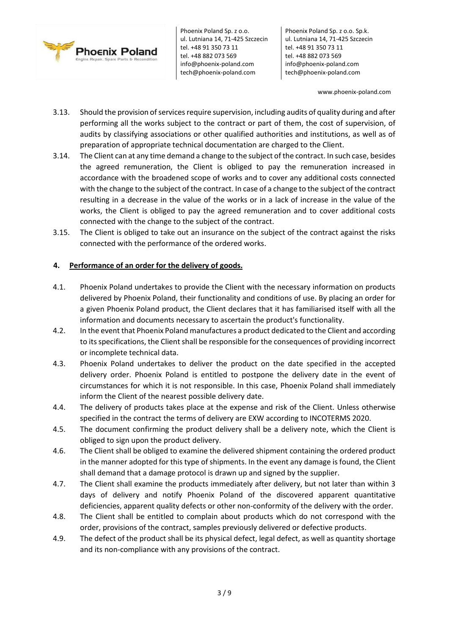

Phoenix Poland Sp. z o.o. Sp.k. ul. Lutniana 14, 71-425 Szczecin tel. +48 91 350 73 11 tel. +48 882 073 569 info@phoenix-poland.com tech@phoenix-poland.com

www.phoenix-poland.com

- 3.13. Should the provision of services require supervision, including audits of quality during and after performing all the works subject to the contract or part of them, the cost of supervision, of audits by classifying associations or other qualified authorities and institutions, as well as of preparation of appropriate technical documentation are charged to the Client.
- 3.14. The Client can at any time demand a change to the subject of the contract. In such case, besides the agreed remuneration, the Client is obliged to pay the remuneration increased in accordance with the broadened scope of works and to cover any additional costs connected with the change to the subject of the contract. In case of a change to the subject of the contract resulting in a decrease in the value of the works or in a lack of increase in the value of the works, the Client is obliged to pay the agreed remuneration and to cover additional costs connected with the change to the subject of the contract.
- 3.15. The Client is obliged to take out an insurance on the subject of the contract against the risks connected with the performance of the ordered works.

### **4. Performance of an order for the delivery of goods.**

- 4.1. Phoenix Poland undertakes to provide the Client with the necessary information on products delivered by Phoenix Poland, their functionality and conditions of use. By placing an order for a given Phoenix Poland product, the Client declares that it has familiarised itself with all the information and documents necessary to ascertain the product's functionality.
- 4.2. In the event that Phoenix Poland manufactures a product dedicated to the Client and according to its specifications, the Client shall be responsible for the consequences of providing incorrect or incomplete technical data.
- 4.3. Phoenix Poland undertakes to deliver the product on the date specified in the accepted delivery order. Phoenix Poland is entitled to postpone the delivery date in the event of circumstances for which it is not responsible. In this case, Phoenix Poland shall immediately inform the Client of the nearest possible delivery date.
- 4.4. The delivery of products takes place at the expense and risk of the Client. Unless otherwise specified in the contract the terms of delivery are EXW according to INCOTERMS 2020.
- 4.5. The document confirming the product delivery shall be a delivery note, which the Client is obliged to sign upon the product delivery.
- 4.6. The Client shall be obliged to examine the delivered shipment containing the ordered product in the manner adopted for this type of shipments. In the event any damage is found, the Client shall demand that a damage protocol is drawn up and signed by the supplier.
- 4.7. The Client shall examine the products immediately after delivery, but not later than within 3 days of delivery and notify Phoenix Poland of the discovered apparent quantitative deficiencies, apparent quality defects or other non-conformity of the delivery with the order.
- 4.8. The Client shall be entitled to complain about products which do not correspond with the order, provisions of the contract, samples previously delivered or defective products.
- 4.9. The defect of the product shall be its physical defect, legal defect, as well as quantity shortage and its non-compliance with any provisions of the contract.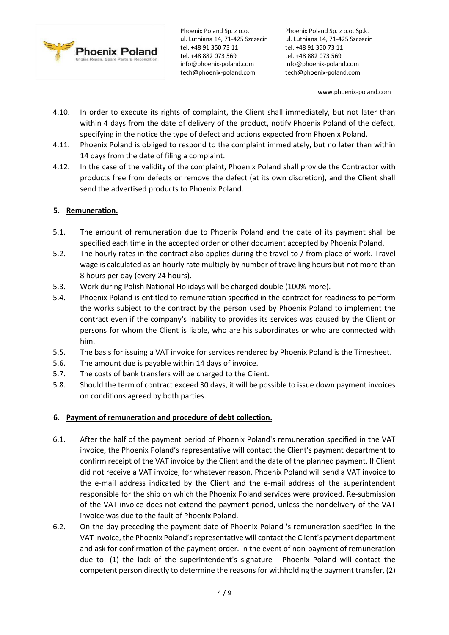

Phoenix Poland Sp. z o.o. Sp.k. ul. Lutniana 14, 71-425 Szczecin tel. +48 91 350 73 11 tel. +48 882 073 569 info@phoenix-poland.com tech@phoenix-poland.com

www.phoenix-poland.com

- 4.10. In order to execute its rights of complaint, the Client shall immediately, but not later than within 4 days from the date of delivery of the product, notify Phoenix Poland of the defect, specifying in the notice the type of defect and actions expected from Phoenix Poland.
- 4.11. Phoenix Poland is obliged to respond to the complaint immediately, but no later than within 14 days from the date of filing a complaint.
- 4.12. In the case of the validity of the complaint, Phoenix Poland shall provide the Contractor with products free from defects or remove the defect (at its own discretion), and the Client shall send the advertised products to Phoenix Poland.

## **5. Remuneration.**

- 5.1. The amount of remuneration due to Phoenix Poland and the date of its payment shall be specified each time in the accepted order or other document accepted by Phoenix Poland.
- 5.2. The hourly rates in the contract also applies during the travel to / from place of work. Travel wage is calculated as an hourly rate multiply by number of travelling hours but not more than 8 hours per day (every 24 hours).
- 5.3. Work during Polish National Holidays will be charged double (100% more).
- 5.4. Phoenix Poland is entitled to remuneration specified in the contract for readiness to perform the works subject to the contract by the person used by Phoenix Poland to implement the contract even if the company's inability to provides its services was caused by the Client or persons for whom the Client is liable, who are his subordinates or who are connected with him.
- 5.5. The basis for issuing a VAT invoice for services rendered by Phoenix Poland is the Timesheet.
- 5.6. The amount due is payable within 14 days of invoice.
- 5.7. The costs of bank transfers will be charged to the Client.
- 5.8. Should the term of contract exceed 30 days, it will be possible to issue down payment invoices on conditions agreed by both parties.

#### **6. Payment of remuneration and procedure of debt collection.**

- 6.1. After the half of the payment period of Phoenix Poland's remuneration specified in the VAT invoice, the Phoenix Poland's representative will contact the Client's payment department to confirm receipt of the VAT invoice by the Client and the date of the planned payment. If Client did not receive a VAT invoice, for whatever reason, Phoenix Poland will send a VAT invoice to the e-mail address indicated by the Client and the e-mail address of the superintendent responsible for the ship on which the Phoenix Poland services were provided. Re-submission of the VAT invoice does not extend the payment period, unless the nondelivery of the VAT invoice was due to the fault of Phoenix Poland.
- 6.2. On the day preceding the payment date of Phoenix Poland 's remuneration specified in the VAT invoice, the Phoenix Poland's representative will contact the Client's payment department and ask for confirmation of the payment order. In the event of non-payment of remuneration due to: (1) the lack of the superintendent's signature - Phoenix Poland will contact the competent person directly to determine the reasons for withholding the payment transfer, (2)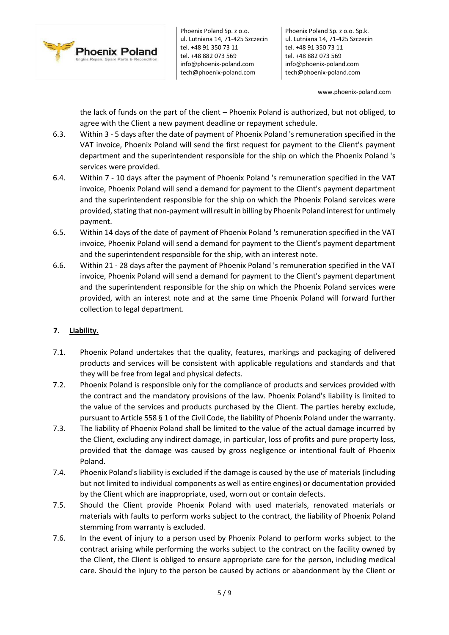

Phoenix Poland Sp. z o.o. Sp.k. ul. Lutniana 14, 71-425 Szczecin tel. +48 91 350 73 11 tel. +48 882 073 569 info@phoenix-poland.com tech@phoenix-poland.com

www.phoenix-poland.com

the lack of funds on the part of the client – Phoenix Poland is authorized, but not obliged, to agree with the Client a new payment deadline or repayment schedule.

- 6.3. Within 3 5 days after the date of payment of Phoenix Poland 's remuneration specified in the VAT invoice, Phoenix Poland will send the first request for payment to the Client's payment department and the superintendent responsible for the ship on which the Phoenix Poland 's services were provided.
- 6.4. Within 7 10 days after the payment of Phoenix Poland 's remuneration specified in the VAT invoice, Phoenix Poland will send a demand for payment to the Client's payment department and the superintendent responsible for the ship on which the Phoenix Poland services were provided, stating that non-payment will result in billing by Phoenix Poland interest for untimely payment.
- 6.5. Within 14 days of the date of payment of Phoenix Poland 's remuneration specified in the VAT invoice, Phoenix Poland will send a demand for payment to the Client's payment department and the superintendent responsible for the ship, with an interest note.
- 6.6. Within 21 28 days after the payment of Phoenix Poland 's remuneration specified in the VAT invoice, Phoenix Poland will send a demand for payment to the Client's payment department and the superintendent responsible for the ship on which the Phoenix Poland services were provided, with an interest note and at the same time Phoenix Poland will forward further collection to legal department.

# **7. Liability.**

- 7.1. Phoenix Poland undertakes that the quality, features, markings and packaging of delivered products and services will be consistent with applicable regulations and standards and that they will be free from legal and physical defects.
- 7.2. Phoenix Poland is responsible only for the compliance of products and services provided with the contract and the mandatory provisions of the law. Phoenix Poland's liability is limited to the value of the services and products purchased by the Client. The parties hereby exclude, pursuant to Article 558 § 1 of the Civil Code, the liability of Phoenix Poland under the warranty.
- 7.3. The liability of Phoenix Poland shall be limited to the value of the actual damage incurred by the Client, excluding any indirect damage, in particular, loss of profits and pure property loss, provided that the damage was caused by gross negligence or intentional fault of Phoenix Poland.
- 7.4. Phoenix Poland's liability is excluded if the damage is caused by the use of materials (including but not limited to individual components as well as entire engines) or documentation provided by the Client which are inappropriate, used, worn out or contain defects.
- 7.5. Should the Client provide Phoenix Poland with used materials, renovated materials or materials with faults to perform works subject to the contract, the liability of Phoenix Poland stemming from warranty is excluded.
- 7.6. In the event of injury to a person used by Phoenix Poland to perform works subject to the contract arising while performing the works subject to the contract on the facility owned by the Client, the Client is obliged to ensure appropriate care for the person, including medical care. Should the injury to the person be caused by actions or abandonment by the Client or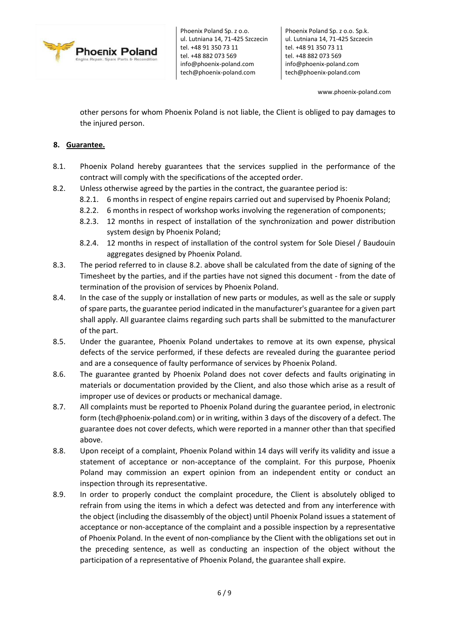

Phoenix Poland Sp. z o.o. Sp.k. ul. Lutniana 14, 71-425 Szczecin tel. +48 91 350 73 11 tel. +48 882 073 569 info@phoenix-poland.com tech@phoenix-poland.com

www.phoenix-poland.com

other persons for whom Phoenix Poland is not liable, the Client is obliged to pay damages to the injured person.

## **8. Guarantee.**

- 8.1. Phoenix Poland hereby guarantees that the services supplied in the performance of the contract will comply with the specifications of the accepted order.
- 8.2. Unless otherwise agreed by the parties in the contract, the guarantee period is:
	- 8.2.1. 6 months in respect of engine repairs carried out and supervised by Phoenix Poland;
	- 8.2.2. 6 months in respect of workshop works involving the regeneration of components;
	- 8.2.3. 12 months in respect of installation of the synchronization and power distribution system design by Phoenix Poland;
	- 8.2.4. 12 months in respect of installation of the control system for Sole Diesel / Baudouin aggregates designed by Phoenix Poland.
- 8.3. The period referred to in clause 8.2. above shall be calculated from the date of signing of the Timesheet by the parties, and if the parties have not signed this document - from the date of termination of the provision of services by Phoenix Poland.
- 8.4. In the case of the supply or installation of new parts or modules, as well as the sale or supply of spare parts, the guarantee period indicated in the manufacturer's guarantee for a given part shall apply. All guarantee claims regarding such parts shall be submitted to the manufacturer of the part.
- 8.5. Under the guarantee, Phoenix Poland undertakes to remove at its own expense, physical defects of the service performed, if these defects are revealed during the guarantee period and are a consequence of faulty performance of services by Phoenix Poland.
- 8.6. The guarantee granted by Phoenix Poland does not cover defects and faults originating in materials or documentation provided by the Client, and also those which arise as a result of improper use of devices or products or mechanical damage.
- 8.7. All complaints must be reported to Phoenix Poland during the guarantee period, in electronic form (tech@phoenix-poland.com) or in writing, within 3 days of the discovery of a defect. The guarantee does not cover defects, which were reported in a manner other than that specified above.
- 8.8. Upon receipt of a complaint, Phoenix Poland within 14 days will verify its validity and issue a statement of acceptance or non-acceptance of the complaint. For this purpose, Phoenix Poland may commission an expert opinion from an independent entity or conduct an inspection through its representative.
- 8.9. In order to properly conduct the complaint procedure, the Client is absolutely obliged to refrain from using the items in which a defect was detected and from any interference with the object (including the disassembly of the object) until Phoenix Poland issues a statement of acceptance or non-acceptance of the complaint and a possible inspection by a representative of Phoenix Poland. In the event of non-compliance by the Client with the obligations set out in the preceding sentence, as well as conducting an inspection of the object without the participation of a representative of Phoenix Poland, the guarantee shall expire.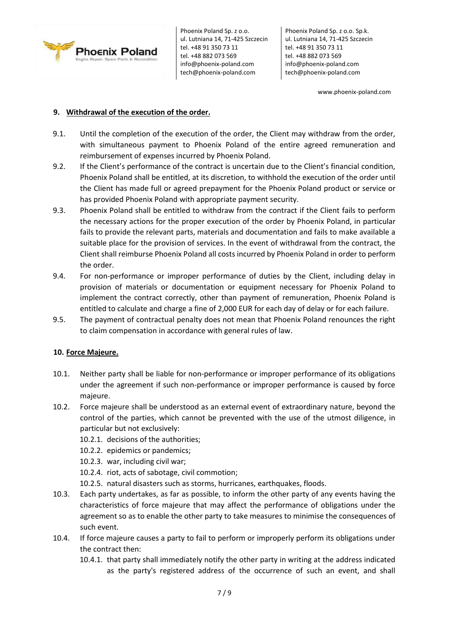

Phoenix Poland Sp. z o.o. Sp.k. ul. Lutniana 14, 71-425 Szczecin tel. +48 91 350 73 11 tel. +48 882 073 569 info@phoenix-poland.com tech@phoenix-poland.com

www.phoenix-poland.com

## **9. Withdrawal of the execution of the order.**

- 9.1. Until the completion of the execution of the order, the Client may withdraw from the order, with simultaneous payment to Phoenix Poland of the entire agreed remuneration and reimbursement of expenses incurred by Phoenix Poland.
- 9.2. If the Client's performance of the contract is uncertain due to the Client's financial condition, Phoenix Poland shall be entitled, at its discretion, to withhold the execution of the order until the Client has made full or agreed prepayment for the Phoenix Poland product or service or has provided Phoenix Poland with appropriate payment security.
- 9.3. Phoenix Poland shall be entitled to withdraw from the contract if the Client fails to perform the necessary actions for the proper execution of the order by Phoenix Poland, in particular fails to provide the relevant parts, materials and documentation and fails to make available a suitable place for the provision of services. In the event of withdrawal from the contract, the Client shall reimburse Phoenix Poland all costs incurred by Phoenix Poland in order to perform the order.
- 9.4. For non-performance or improper performance of duties by the Client, including delay in provision of materials or documentation or equipment necessary for Phoenix Poland to implement the contract correctly, other than payment of remuneration, Phoenix Poland is entitled to calculate and charge a fine of 2,000 EUR for each day of delay or for each failure.
- 9.5. The payment of contractual penalty does not mean that Phoenix Poland renounces the right to claim compensation in accordance with general rules of law.

## **10. Force Majeure.**

- 10.1. Neither party shall be liable for non-performance or improper performance of its obligations under the agreement if such non-performance or improper performance is caused by force majeure.
- 10.2. Force majeure shall be understood as an external event of extraordinary nature, beyond the control of the parties, which cannot be prevented with the use of the utmost diligence, in particular but not exclusively:
	- 10.2.1. decisions of the authorities;
	- 10.2.2. epidemics or pandemics;
	- 10.2.3. war, including civil war;
	- 10.2.4. riot, acts of sabotage, civil commotion;
	- 10.2.5. natural disasters such as storms, hurricanes, earthquakes, floods.
- 10.3. Each party undertakes, as far as possible, to inform the other party of any events having the characteristics of force majeure that may affect the performance of obligations under the agreement so as to enable the other party to take measures to minimise the consequences of such event.
- 10.4. If force majeure causes a party to fail to perform or improperly perform its obligations under the contract then:
	- 10.4.1. that party shall immediately notify the other party in writing at the address indicated as the party's registered address of the occurrence of such an event, and shall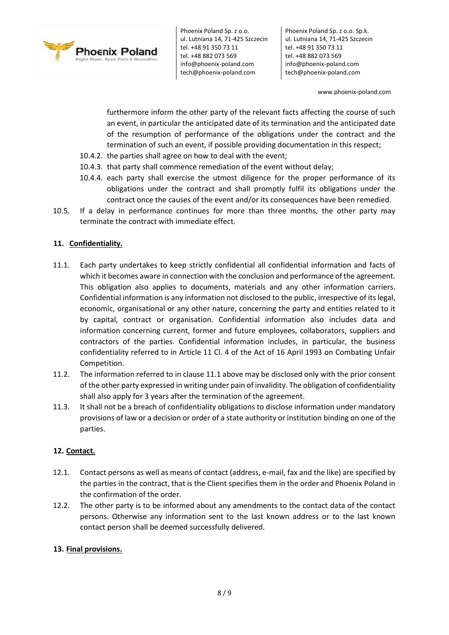

Phoenix Poland Sp. z o.o. Sp.k. ul. Lutniana 14, 71-425 Szczecin tel. +48 91 350 73 11 tel. +48 882 073 569 info@phoenix-poland.com tech@phoenix-poland.com

www.phoenix-poland.com

furthermore inform the other party of the relevant facts affecting the course of such an event, in particular the anticipated date of its termination and the anticipated date of the resumption of performance of the obligations under the contract and the termination of such an event, if possible providing documentation in this respect;

- 10.4.2. the parties shall agree on how to deal with the event;
- 10.4.3. that party shall commence remediation of the event without delay;
- 10.4.4. each party shall exercise the utmost diligence for the proper performance of its obligations under the contract and shall promptly fulfil its obligations under the contract once the causes of the event and/or its consequences have been remedied.
- 10.5. If a delay in performance continues for more than three months, the other party may terminate the contract with immediate effect.

# **11. Confidentiality.**

- 11.1. Each party undertakes to keep strictly confidential all confidential information and facts of which it becomes aware in connection with the conclusion and performance of the agreement. This obligation also applies to documents, materials and any other information carriers. Confidential information is any information not disclosed to the public, irrespective of its legal, economic, organisational or any other nature, concerning the party and entities related to it by capital, contract or organisation. Confidential information also includes data and information concerning current, former and future employees, collaborators, suppliers and contractors of the parties. Confidential information includes, in particular, the business confidentiality referred to in Article 11 Cl. 4 of the Act of 16 April 1993 on Combating Unfair Competition.
- 11.2. The information referred to in clause 11.1 above may be disclosed only with the prior consent of the other party expressed in writing under pain of invalidity. The obligation of confidentiality shall also apply for 3 years after the termination of the agreement.
- 11.3. It shall not be a breach of confidentiality obligations to disclose information under mandatory provisions of law or a decision or order of a state authority or institution binding on one of the parties.

## **12. Contact.**

- 12.1. Contact persons as well as means of contact (address, e-mail, fax and the like) are specified by the parties in the contract, that is the Client specifies them in the order and Phoenix Poland in the confirmation of the order.
- 12.2. The other party is to be informed about any amendments to the contact data of the contact persons. Otherwise any information sent to the last known address or to the last known contact person shall be deemed successfully delivered.

## **13. Final provisions.**